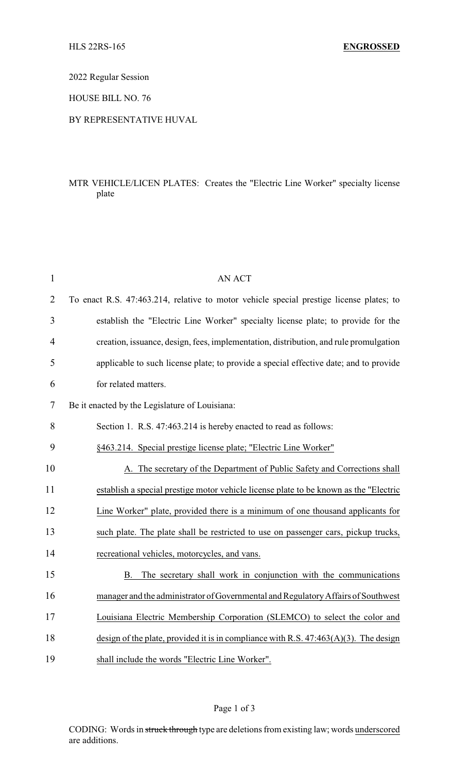#### 2022 Regular Session

HOUSE BILL NO. 76

#### BY REPRESENTATIVE HUVAL

# MTR VEHICLE/LICEN PLATES: Creates the "Electric Line Worker" specialty license plate

| $\mathbf{1}$   | <b>AN ACT</b>                                                                           |
|----------------|-----------------------------------------------------------------------------------------|
| $\overline{2}$ | To enact R.S. 47:463.214, relative to motor vehicle special prestige license plates; to |
| 3              | establish the "Electric Line Worker" specialty license plate; to provide for the        |
| 4              | creation, issuance, design, fees, implementation, distribution, and rule promulgation   |
| 5              | applicable to such license plate; to provide a special effective date; and to provide   |
| 6              | for related matters.                                                                    |
| 7              | Be it enacted by the Legislature of Louisiana:                                          |
| 8              | Section 1. R.S. 47:463.214 is hereby enacted to read as follows:                        |
| 9              | §463.214. Special prestige license plate; "Electric Line Worker"                        |
| 10             | A. The secretary of the Department of Public Safety and Corrections shall               |
| 11             | establish a special prestige motor vehicle license plate to be known as the "Electric   |
| 12             | Line Worker" plate, provided there is a minimum of one thousand applicants for          |
| 13             | such plate. The plate shall be restricted to use on passenger cars, pickup trucks,      |
| 14             | recreational vehicles, motorcycles, and vans.                                           |
| 15             | The secretary shall work in conjunction with the communications<br>В.                   |
| 16             | manager and the administrator of Governmental and Regulatory Affairs of Southwest       |
| 17             | Louisiana Electric Membership Corporation (SLEMCO) to select the color and              |
| 18             | design of the plate, provided it is in compliance with R.S. $47:463(A)(3)$ . The design |
| 19             | shall include the words "Electric Line Worker".                                         |

# Page 1 of 3

CODING: Words in struck through type are deletions from existing law; words underscored are additions.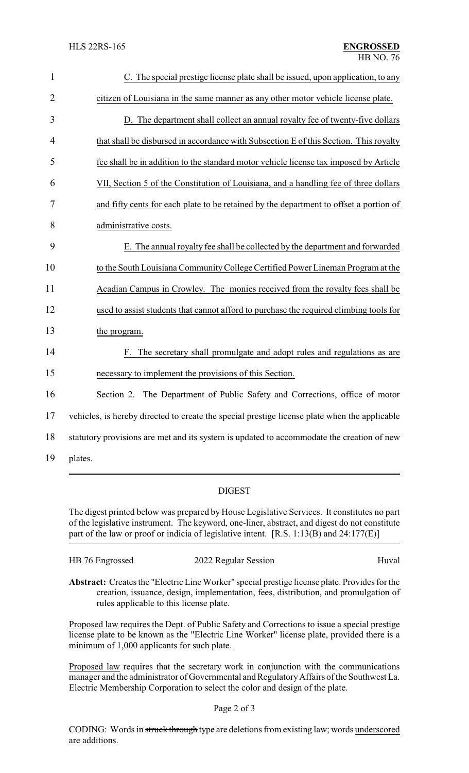| $\mathbf{1}$   | C. The special prestige license plate shall be issued, upon application, to any               |
|----------------|-----------------------------------------------------------------------------------------------|
| $\overline{2}$ | citizen of Louisiana in the same manner as any other motor vehicle license plate.             |
| 3              | D. The department shall collect an annual royalty fee of twenty-five dollars                  |
| 4              | that shall be disbursed in accordance with Subsection E of this Section. This royalty         |
| 5              | fee shall be in addition to the standard motor vehicle license tax imposed by Article         |
| 6              | VII, Section 5 of the Constitution of Louisiana, and a handling fee of three dollars          |
| 7              | and fifty cents for each plate to be retained by the department to offset a portion of        |
| 8              | administrative costs.                                                                         |
| 9              | E. The annual royalty fee shall be collected by the department and forwarded                  |
| 10             | to the South Louisiana Community College Certified Power Lineman Program at the               |
| 11             | Acadian Campus in Crowley. The monies received from the royalty fees shall be                 |
| 12             | used to assist students that cannot afford to purchase the required climbing tools for        |
| 13             | the program.                                                                                  |
| 14             | F. The secretary shall promulgate and adopt rules and regulations as are                      |
| 15             | necessary to implement the provisions of this Section.                                        |
| 16             | Section 2. The Department of Public Safety and Corrections, office of motor                   |
| 17             | vehicles, is hereby directed to create the special prestige license plate when the applicable |
| 18             | statutory provisions are met and its system is updated to accommodate the creation of new     |
| 19             | plates.                                                                                       |

### DIGEST

The digest printed below was prepared by House Legislative Services. It constitutes no part of the legislative instrument. The keyword, one-liner, abstract, and digest do not constitute part of the law or proof or indicia of legislative intent. [R.S. 1:13(B) and 24:177(E)]

| HB 76 Engrossed | 2022 Regular Session                                                                         | Huval |
|-----------------|----------------------------------------------------------------------------------------------|-------|
|                 | Abstract: Creates the "Flectric Line Worker" special prestige license plate Provides for the |       |

**Abstract:** Creates the "Electric Line Worker" special prestige license plate. Provides for the creation, issuance, design, implementation, fees, distribution, and promulgation of rules applicable to this license plate.

Proposed law requires the Dept. of Public Safety and Corrections to issue a special prestige license plate to be known as the "Electric Line Worker" license plate, provided there is a minimum of 1,000 applicants for such plate.

Proposed law requires that the secretary work in conjunction with the communications manager and the administrator of Governmental and RegulatoryAffairs of the Southwest La. Electric Membership Corporation to select the color and design of the plate.